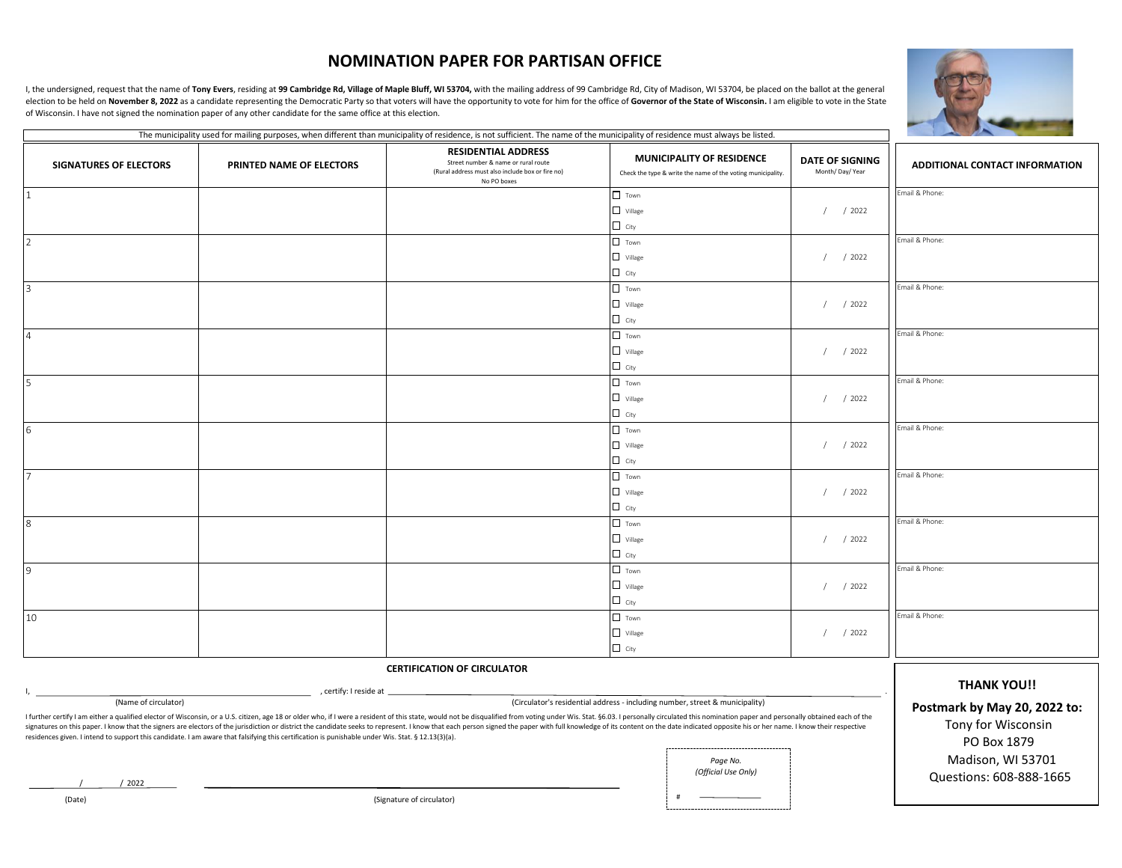## **NOMINATION PAPER FOR PARTISAN OFFICE**

I, the undersigned, request that the name of Tony Evers, residing at 99 Cambridge Rd, Village of Maple Bluff, WI 53704, with the mailing address of 99 Cambridge Rd, City of Madison, WI 53704, be placed on the ballot at the election to be held on November 8, 2022 as a candidate representing the Democratic Party so that voters will have the opportunity to vote for him for the office of Governor of the State of Wisconsin. I am eligible to vote of Wisconsin. I have not signed the nomination paper of any other candidate for the same office at this election.



Questions: 608-888-1665

|                                                                                                                                                                                                                                                                                                                                                                                                                                                                                                                                                                                                                       |                          | The municipality used for mailing purposes, when different than municipality of residence, is not sufficient. The name of the municipality of residence must always be listed. |                |                                                                                                 |                                          |                                   |
|-----------------------------------------------------------------------------------------------------------------------------------------------------------------------------------------------------------------------------------------------------------------------------------------------------------------------------------------------------------------------------------------------------------------------------------------------------------------------------------------------------------------------------------------------------------------------------------------------------------------------|--------------------------|--------------------------------------------------------------------------------------------------------------------------------------------------------------------------------|----------------|-------------------------------------------------------------------------------------------------|------------------------------------------|-----------------------------------|
| <b>SIGNATURES OF ELECTORS</b>                                                                                                                                                                                                                                                                                                                                                                                                                                                                                                                                                                                         | PRINTED NAME OF ELECTORS | <b>RESIDENTIAL ADDRESS</b><br>Street number & name or rural route<br>(Rural address must also include box or fire no)<br>No PO boxes                                           |                | <b>MUNICIPALITY OF RESIDENCE</b><br>Check the type & write the name of the voting municipality. | <b>DATE OF SIGNING</b><br>Month/Day/Year | ADDITIONAL CONTACT INFORMATION    |
| $\mathbf{1}$                                                                                                                                                                                                                                                                                                                                                                                                                                                                                                                                                                                                          |                          |                                                                                                                                                                                | $\Box$ Town    |                                                                                                 |                                          | Email & Phone:                    |
|                                                                                                                                                                                                                                                                                                                                                                                                                                                                                                                                                                                                                       |                          |                                                                                                                                                                                | $\Box$ Village |                                                                                                 | /2022<br>$\prime$                        |                                   |
|                                                                                                                                                                                                                                                                                                                                                                                                                                                                                                                                                                                                                       |                          |                                                                                                                                                                                | $\Box$ City    |                                                                                                 |                                          |                                   |
| $\overline{\phantom{a}}$                                                                                                                                                                                                                                                                                                                                                                                                                                                                                                                                                                                              |                          |                                                                                                                                                                                | $\Box$ Town    |                                                                                                 |                                          | Email & Phone:                    |
|                                                                                                                                                                                                                                                                                                                                                                                                                                                                                                                                                                                                                       |                          |                                                                                                                                                                                | $\Box$ Village |                                                                                                 | $/$ / 2022                               |                                   |
|                                                                                                                                                                                                                                                                                                                                                                                                                                                                                                                                                                                                                       |                          |                                                                                                                                                                                | $\Box$ City    |                                                                                                 |                                          |                                   |
| $\overline{3}$                                                                                                                                                                                                                                                                                                                                                                                                                                                                                                                                                                                                        |                          |                                                                                                                                                                                | $\Box$ Town    |                                                                                                 |                                          | Email & Phone:                    |
|                                                                                                                                                                                                                                                                                                                                                                                                                                                                                                                                                                                                                       |                          |                                                                                                                                                                                | $\Box$ Village |                                                                                                 | /2022                                    |                                   |
|                                                                                                                                                                                                                                                                                                                                                                                                                                                                                                                                                                                                                       |                          |                                                                                                                                                                                | $\Box$ City    |                                                                                                 |                                          |                                   |
| $\overline{4}$                                                                                                                                                                                                                                                                                                                                                                                                                                                                                                                                                                                                        |                          |                                                                                                                                                                                | $\Box$ Town    |                                                                                                 |                                          | Email & Phone:                    |
|                                                                                                                                                                                                                                                                                                                                                                                                                                                                                                                                                                                                                       |                          |                                                                                                                                                                                | $\Box$ Village |                                                                                                 | $/$ / 2022                               |                                   |
|                                                                                                                                                                                                                                                                                                                                                                                                                                                                                                                                                                                                                       |                          |                                                                                                                                                                                | $\Box$ City    |                                                                                                 |                                          |                                   |
| 5                                                                                                                                                                                                                                                                                                                                                                                                                                                                                                                                                                                                                     |                          |                                                                                                                                                                                | $\Box$ Town    |                                                                                                 |                                          | Email & Phone:                    |
|                                                                                                                                                                                                                                                                                                                                                                                                                                                                                                                                                                                                                       |                          |                                                                                                                                                                                | $\Box$ Village |                                                                                                 | /2022                                    |                                   |
|                                                                                                                                                                                                                                                                                                                                                                                                                                                                                                                                                                                                                       |                          |                                                                                                                                                                                | $\Box$ City    |                                                                                                 |                                          |                                   |
| 6                                                                                                                                                                                                                                                                                                                                                                                                                                                                                                                                                                                                                     |                          |                                                                                                                                                                                | $\Box$ Town    |                                                                                                 |                                          | Email & Phone:                    |
|                                                                                                                                                                                                                                                                                                                                                                                                                                                                                                                                                                                                                       |                          |                                                                                                                                                                                | $\Box$ Village |                                                                                                 | $/$ / 2022                               |                                   |
|                                                                                                                                                                                                                                                                                                                                                                                                                                                                                                                                                                                                                       |                          |                                                                                                                                                                                | $\Box$ City    |                                                                                                 |                                          |                                   |
| $\overline{7}$                                                                                                                                                                                                                                                                                                                                                                                                                                                                                                                                                                                                        |                          |                                                                                                                                                                                | $\Box$ Town    |                                                                                                 |                                          | Email & Phone:                    |
|                                                                                                                                                                                                                                                                                                                                                                                                                                                                                                                                                                                                                       |                          |                                                                                                                                                                                | $\Box$ Village |                                                                                                 | /2022                                    |                                   |
|                                                                                                                                                                                                                                                                                                                                                                                                                                                                                                                                                                                                                       |                          |                                                                                                                                                                                | $\Box$ City    |                                                                                                 |                                          |                                   |
| 8                                                                                                                                                                                                                                                                                                                                                                                                                                                                                                                                                                                                                     |                          |                                                                                                                                                                                | $\Box$ Town    |                                                                                                 |                                          | Email & Phone:                    |
|                                                                                                                                                                                                                                                                                                                                                                                                                                                                                                                                                                                                                       |                          |                                                                                                                                                                                | $\Box$ Village |                                                                                                 | $/$ / 2022                               |                                   |
|                                                                                                                                                                                                                                                                                                                                                                                                                                                                                                                                                                                                                       |                          |                                                                                                                                                                                | $\Box$ City    |                                                                                                 |                                          |                                   |
| 9                                                                                                                                                                                                                                                                                                                                                                                                                                                                                                                                                                                                                     |                          |                                                                                                                                                                                | $\Box$ Town    |                                                                                                 |                                          | Email & Phone:                    |
|                                                                                                                                                                                                                                                                                                                                                                                                                                                                                                                                                                                                                       |                          |                                                                                                                                                                                | $\Box$ village |                                                                                                 | $/$ / 2022                               |                                   |
|                                                                                                                                                                                                                                                                                                                                                                                                                                                                                                                                                                                                                       |                          |                                                                                                                                                                                | $\Box$ City    |                                                                                                 |                                          |                                   |
| 10                                                                                                                                                                                                                                                                                                                                                                                                                                                                                                                                                                                                                    |                          |                                                                                                                                                                                | $\Box$ Town    |                                                                                                 |                                          | Email & Phone:                    |
|                                                                                                                                                                                                                                                                                                                                                                                                                                                                                                                                                                                                                       |                          |                                                                                                                                                                                | $\Box$ Village |                                                                                                 | $/$ / 2022                               |                                   |
|                                                                                                                                                                                                                                                                                                                                                                                                                                                                                                                                                                                                                       |                          |                                                                                                                                                                                | $\Box$ City    |                                                                                                 |                                          |                                   |
|                                                                                                                                                                                                                                                                                                                                                                                                                                                                                                                                                                                                                       |                          |                                                                                                                                                                                |                |                                                                                                 |                                          |                                   |
| <b>CERTIFICATION OF CIRCULATOR</b>                                                                                                                                                                                                                                                                                                                                                                                                                                                                                                                                                                                    |                          |                                                                                                                                                                                |                |                                                                                                 |                                          |                                   |
| , certify: I reside at                                                                                                                                                                                                                                                                                                                                                                                                                                                                                                                                                                                                |                          |                                                                                                                                                                                |                |                                                                                                 |                                          | <b>THANK YOU!!</b>                |
| (Name of circulator)<br>(Circulator's residential address - including number, street & municipality)                                                                                                                                                                                                                                                                                                                                                                                                                                                                                                                  |                          |                                                                                                                                                                                |                |                                                                                                 | Postmark by May 20, 2022 to:             |                                   |
| I further certify I am either a qualified elector of Wisconsin, or a U.S. citizen, age 18 or older who, if I were a resident of this state, would not be disqualified from voting under Wis. Stat. §6.03. I personally circula<br>signatures on this paper. I know that the signers are electors of the jurisdiction or district the candidate seeks to represent. I know that each person signed the paper with full knowledge of its content on the date indic<br>residences given. I intend to support this candidate. I am aware that falsifying this certification is punishable under Wis. Stat. § 12.13(3)(a). |                          |                                                                                                                                                                                |                |                                                                                                 |                                          | Tony for Wisconsin<br>PO Box 1879 |
|                                                                                                                                                                                                                                                                                                                                                                                                                                                                                                                                                                                                                       |                          |                                                                                                                                                                                |                | Page No.                                                                                        |                                          | Madison, WI 53701                 |
|                                                                                                                                                                                                                                                                                                                                                                                                                                                                                                                                                                                                                       |                          |                                                                                                                                                                                |                | (Official Use Only)                                                                             |                                          | $Q_{i}$                           |

/ / 2022

(Date) # (Signature of circulator)